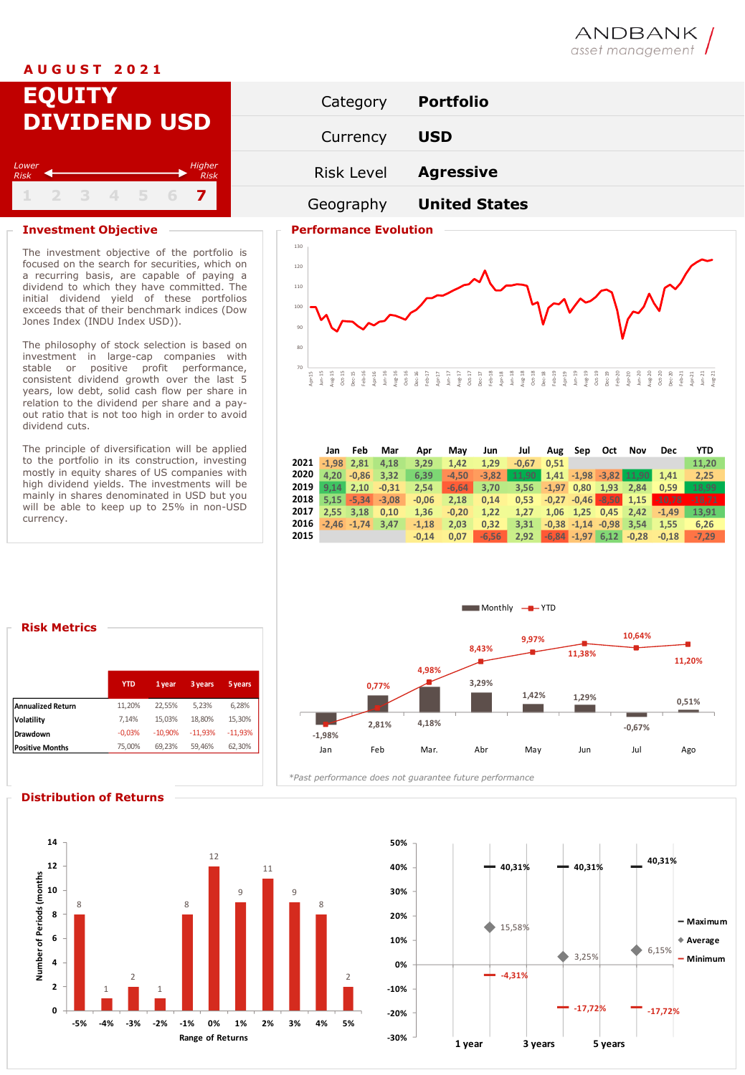# **A U G U S T 2 0 2 1**

# **EQUITY DIVIDEND USD 1 2 3 4 5 6 7** *Lower Risk Higher Risk*

## **Investment Objective**  Performance Evolution

The investment objective of the portfolio is focused on the search for securities, which on a recurring basis, are capable of paying a dividend to which they have committed. The initial dividend yield of these portfolios exceeds that of their benchmark indices (Dow Jones Index (INDU Index USD)).

The philosophy of stock selection is based on investment in large-cap companies with stable or positive profit performance, consistent dividend growth over the last 5 years, low debt, solid cash flow per share in relation to the dividend per share and a payout ratio that is not too high in order to avoid dividend cuts.

The principle of diversification will be applied to the portfolio in its construction, investing mostly in equity shares of US companies with high dividend yields. The investments will be mainly in shares denominated in USD but you will be able to keep up to 25% in non-USD currency.





|      | Jan          | Feb                  | Mar     | Apr     | Mav     | Jun     | Jul                                           |                     | Aug Sep Oct |             | Nov                                   | <b>Dec</b>                                     | YTD      |
|------|--------------|----------------------|---------|---------|---------|---------|-----------------------------------------------|---------------------|-------------|-------------|---------------------------------------|------------------------------------------------|----------|
| 2021 | $-1.98$ 2.81 |                      | 4.18    | 3.29    | 1.42    | 1.29    | $-0.67$                                       | 0.51                |             |             |                                       |                                                | 11.20    |
| 2020 |              | 4,20 -0,86 3,32      |         | 6.39    | $-4.50$ | $-3.82$ | $11,90$ $1,41$ $-1,98$ $-3,82$ $11,90$ $1,41$ |                     |             |             |                                       |                                                | 2,25     |
| 2019 |              | $9.14$ 2.10          | $-0.31$ | 2.54    | $-6.64$ | 3.70    |                                               | $3.56$ $-1.97$ 0.80 |             | $1.93$ 2.84 |                                       | $\blacksquare$ 0.59                            | 18,99    |
| 2018 |              | $5.15 - 5.34 - 3.08$ |         | $-0.06$ | 2.18    | 0.14    |                                               |                     |             |             |                                       | $0,53$ $-0,27$ $-0,46$ $-8,50$ $1,15$ $-10,78$ | $-18.71$ |
| 2017 | 2.55 3.18    |                      | 0.10    | 1.36    | $-0.20$ | 1.22    | 1.27                                          |                     |             |             | $1,06$ $1,25$ $0,45$ $2,42$ $-1,49$   |                                                | 13.91    |
| 2016 |              | $-2.46 - 1.74$       | 3.47    | $-1.18$ | 2.03    | 0.32    | 3.31                                          |                     |             |             | $-0.38$ $-1.14$ $-0.98$ 3.54 1.55     |                                                | 6.26     |
| 2015 |              |                      |         | $-0.14$ | 0.07    | $-6,56$ |                                               |                     |             |             | $2,92$ $-6,84$ $-1,97$ $6,12$ $-0,28$ | $-0.18$                                        | $-7.29$  |

# **Risk Metrics**

|                        | <b>YTD</b> | 1 year    | 3 years   | 5 years   |  |
|------------------------|------------|-----------|-----------|-----------|--|
| Annualized Return      | 11.20%     | 22.55%    | 5.23%     | 6.28%     |  |
| Volatility             | 7.14%      | 15.03%    | 18.80%    | 15.30%    |  |
| Drawdown               | $-0.03%$   | $-10.90%$ | $-11.93%$ | $-11.93%$ |  |
| <b>Positive Months</b> | 75,00%     | 69.23%    | 59.46%    | 62.30%    |  |
|                        |            |           |           |           |  |



### **Distribution of Returns**





# ANDBANK asset management